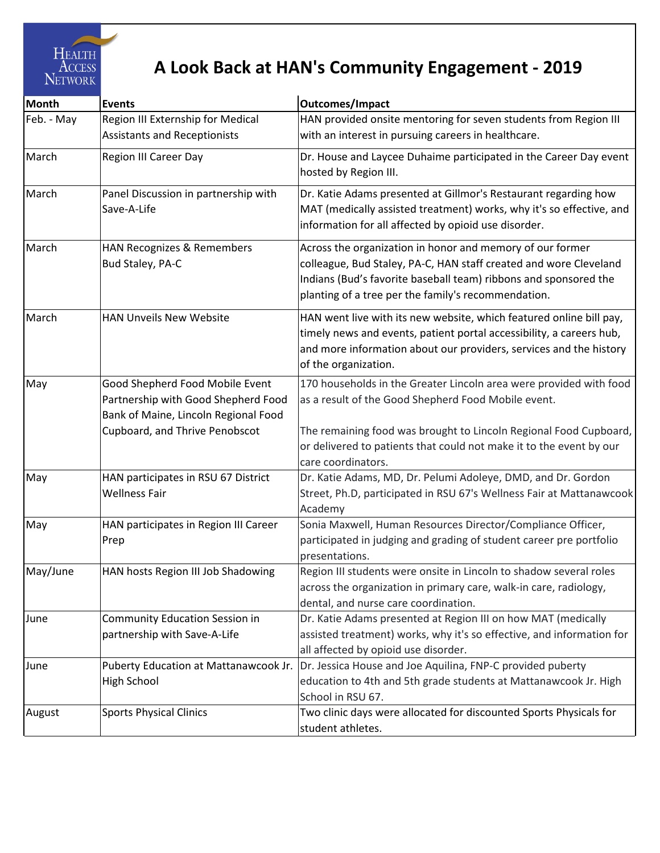

## **A Look Back at HAN's Community Engagement - 2019**

| <b>Month</b> | <b>Events</b>                                                                                                                                    | <b>Outcomes/Impact</b>                                                                                                                                                                                                                                    |
|--------------|--------------------------------------------------------------------------------------------------------------------------------------------------|-----------------------------------------------------------------------------------------------------------------------------------------------------------------------------------------------------------------------------------------------------------|
| Feb. - May   | Region III Externship for Medical<br><b>Assistants and Receptionists</b>                                                                         | HAN provided onsite mentoring for seven students from Region III<br>with an interest in pursuing careers in healthcare.                                                                                                                                   |
| March        | <b>Region III Career Day</b>                                                                                                                     | Dr. House and Laycee Duhaime participated in the Career Day event<br>hosted by Region III.                                                                                                                                                                |
| March        | Panel Discussion in partnership with<br>Save-A-Life                                                                                              | Dr. Katie Adams presented at Gillmor's Restaurant regarding how<br>MAT (medically assisted treatment) works, why it's so effective, and<br>information for all affected by opioid use disorder.                                                           |
| March        | HAN Recognizes & Remembers<br>Bud Staley, PA-C                                                                                                   | Across the organization in honor and memory of our former<br>colleague, Bud Staley, PA-C, HAN staff created and wore Cleveland<br>Indians (Bud's favorite baseball team) ribbons and sponsored the<br>planting of a tree per the family's recommendation. |
| March        | <b>HAN Unveils New Website</b>                                                                                                                   | HAN went live with its new website, which featured online bill pay,<br>timely news and events, patient portal accessibility, a careers hub,<br>and more information about our providers, services and the history<br>of the organization.                 |
| May          | Good Shepherd Food Mobile Event<br>Partnership with Good Shepherd Food<br>Bank of Maine, Lincoln Regional Food<br>Cupboard, and Thrive Penobscot | 170 households in the Greater Lincoln area were provided with food<br>as a result of the Good Shepherd Food Mobile event.<br>The remaining food was brought to Lincoln Regional Food Cupboard,                                                            |
|              |                                                                                                                                                  | or delivered to patients that could not make it to the event by our<br>care coordinators.                                                                                                                                                                 |
| May          | HAN participates in RSU 67 District<br><b>Wellness Fair</b>                                                                                      | Dr. Katie Adams, MD, Dr. Pelumi Adoleye, DMD, and Dr. Gordon<br>Street, Ph.D, participated in RSU 67's Wellness Fair at Mattanawcook<br>Academy                                                                                                           |
| May          | HAN participates in Region III Career<br>Prep                                                                                                    | Sonia Maxwell, Human Resources Director/Compliance Officer,<br>participated in judging and grading of student career pre portfolio<br>presentations.                                                                                                      |
| May/June     | HAN hosts Region III Job Shadowing                                                                                                               | Region III students were onsite in Lincoln to shadow several roles<br>across the organization in primary care, walk-in care, radiology,<br>dental, and nurse care coordination.                                                                           |
| June         | <b>Community Education Session in</b><br>partnership with Save-A-Life                                                                            | Dr. Katie Adams presented at Region III on how MAT (medically<br>assisted treatment) works, why it's so effective, and information for<br>all affected by opioid use disorder.                                                                            |
| June         | Puberty Education at Mattanawcook Jr.<br>High School                                                                                             | Dr. Jessica House and Joe Aquilina, FNP-C provided puberty<br>education to 4th and 5th grade students at Mattanawcook Jr. High<br>School in RSU 67.                                                                                                       |
| August       | <b>Sports Physical Clinics</b>                                                                                                                   | Two clinic days were allocated for discounted Sports Physicals for<br>student athletes.                                                                                                                                                                   |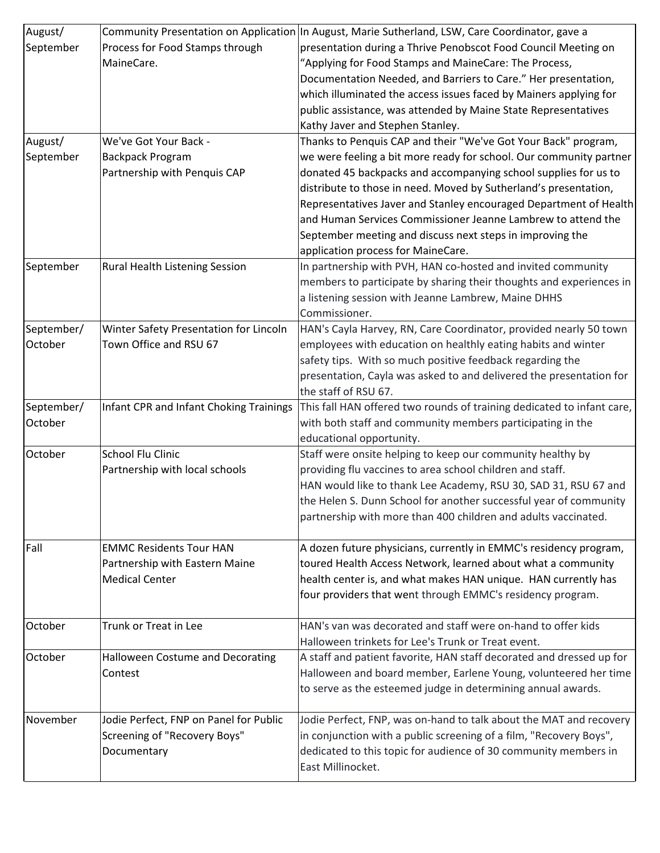| August/    |                                         | Community Presentation on Application In August, Marie Sutherland, LSW, Care Coordinator, gave a |
|------------|-----------------------------------------|--------------------------------------------------------------------------------------------------|
| September  | Process for Food Stamps through         | presentation during a Thrive Penobscot Food Council Meeting on                                   |
|            | MaineCare.                              | "Applying for Food Stamps and MaineCare: The Process,                                            |
|            |                                         | Documentation Needed, and Barriers to Care." Her presentation,                                   |
|            |                                         | which illuminated the access issues faced by Mainers applying for                                |
|            |                                         | public assistance, was attended by Maine State Representatives                                   |
|            |                                         | Kathy Javer and Stephen Stanley.                                                                 |
| August/    | We've Got Your Back -                   | Thanks to Penquis CAP and their "We've Got Your Back" program,                                   |
| September  | <b>Backpack Program</b>                 | we were feeling a bit more ready for school. Our community partner                               |
|            | Partnership with Penquis CAP            | donated 45 backpacks and accompanying school supplies for us to                                  |
|            |                                         | distribute to those in need. Moved by Sutherland's presentation,                                 |
|            |                                         | Representatives Javer and Stanley encouraged Department of Health                                |
|            |                                         | and Human Services Commissioner Jeanne Lambrew to attend the                                     |
|            |                                         | September meeting and discuss next steps in improving the                                        |
|            |                                         | application process for MaineCare.                                                               |
| September  | Rural Health Listening Session          | In partnership with PVH, HAN co-hosted and invited community                                     |
|            |                                         | members to participate by sharing their thoughts and experiences in                              |
|            |                                         | a listening session with Jeanne Lambrew, Maine DHHS                                              |
|            |                                         | Commissioner.                                                                                    |
| September/ | Winter Safety Presentation for Lincoln  | HAN's Cayla Harvey, RN, Care Coordinator, provided nearly 50 town                                |
| October    | Town Office and RSU 67                  | employees with education on healthly eating habits and winter                                    |
|            |                                         | safety tips. With so much positive feedback regarding the                                        |
|            |                                         | presentation, Cayla was asked to and delivered the presentation for                              |
|            |                                         | the staff of RSU 67.                                                                             |
| September/ | Infant CPR and Infant Choking Trainings | This fall HAN offered two rounds of training dedicated to infant care,                           |
| October    |                                         | with both staff and community members participating in the                                       |
|            |                                         | educational opportunity.                                                                         |
| October    | <b>School Flu Clinic</b>                | Staff were onsite helping to keep our community healthy by                                       |
|            |                                         | providing flu vaccines to area school children and staff.                                        |
|            | Partnership with local schools          | HAN would like to thank Lee Academy, RSU 30, SAD 31, RSU 67 and                                  |
|            |                                         |                                                                                                  |
|            |                                         | the Helen S. Dunn School for another successful year of community                                |
|            |                                         | partnership with more than 400 children and adults vaccinated.                                   |
| Fall       | <b>EMMC Residents Tour HAN</b>          |                                                                                                  |
|            |                                         | A dozen future physicians, currently in EMMC's residency program,                                |
|            | Partnership with Eastern Maine          | toured Health Access Network, learned about what a community                                     |
|            | <b>Medical Center</b>                   | health center is, and what makes HAN unique. HAN currently has                                   |
|            |                                         | four providers that went through EMMC's residency program.                                       |
|            | Trunk or Treat in Lee                   | HAN's van was decorated and staff were on-hand to offer kids                                     |
| October    |                                         |                                                                                                  |
|            |                                         | Halloween trinkets for Lee's Trunk or Treat event.                                               |
| October    | Halloween Costume and Decorating        | A staff and patient favorite, HAN staff decorated and dressed up for                             |
|            | Contest                                 | Halloween and board member, Earlene Young, volunteered her time                                  |
|            |                                         | to serve as the esteemed judge in determining annual awards.                                     |
|            |                                         |                                                                                                  |
| November   | Jodie Perfect, FNP on Panel for Public  | Jodie Perfect, FNP, was on-hand to talk about the MAT and recovery                               |
|            | Screening of "Recovery Boys"            | in conjunction with a public screening of a film, "Recovery Boys",                               |
|            | Documentary                             | dedicated to this topic for audience of 30 community members in                                  |
|            |                                         | East Millinocket.                                                                                |